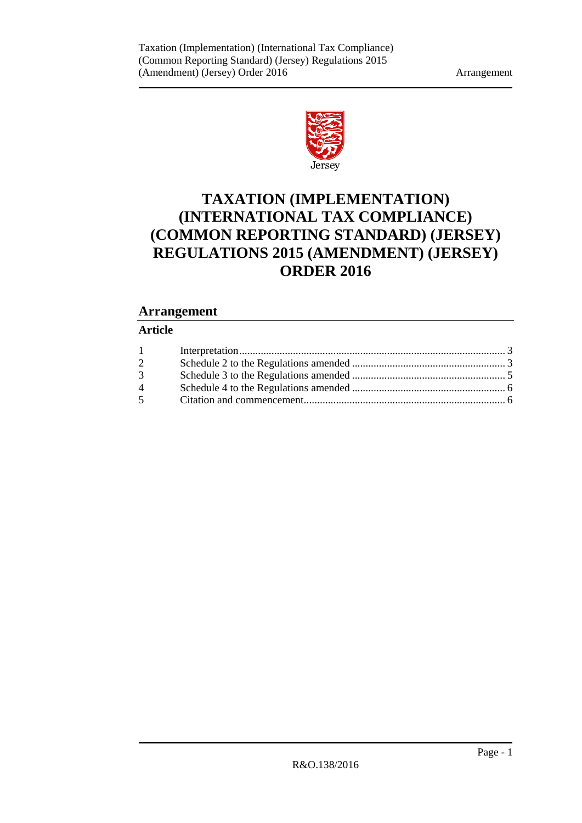

# **TAXATION (IMPLEMENTATION) (INTERNATIONAL TAX COMPLIANCE) (COMMON REPORTING STANDARD) (JERSEY) REGULATIONS 2015 (AMENDMENT) (JERSEY) ORDER 2016**

# **Arrangement**

## **Article**

| $\overline{2}$     |  |
|--------------------|--|
| $3 \quad \text{ }$ |  |
| $\overline{4}$     |  |
|                    |  |
|                    |  |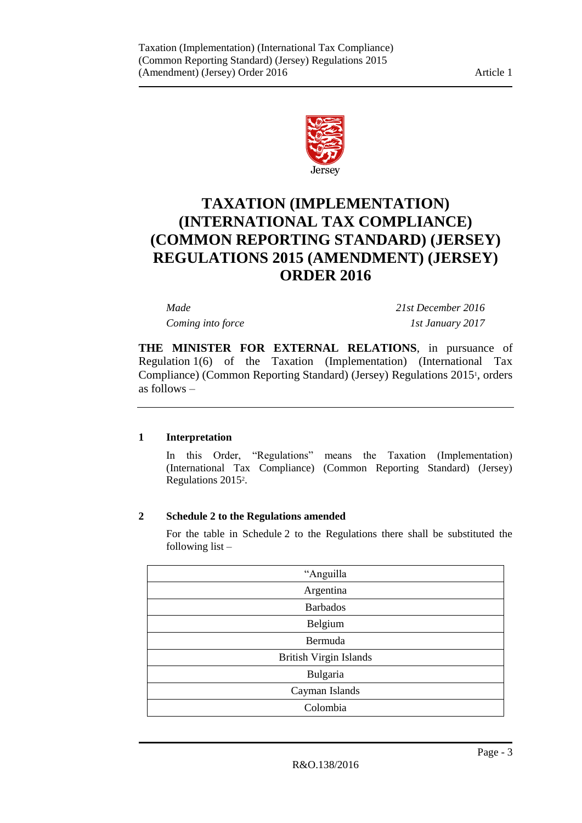

# **TAXATION (IMPLEMENTATION) (INTERNATIONAL TAX COMPLIANCE) (COMMON REPORTING STANDARD) (JERSEY) REGULATIONS 2015 (AMENDMENT) (JERSEY) ORDER 2016**

*Made 21st December 2016 Coming into force 1st January 2017*

**THE MINISTER FOR EXTERNAL RELATIONS**, in pursuance of Regulation 1(6) of the Taxation (Implementation) (International Tax Compliance) (Common Reporting Standard) (Jersey) Regulations 2015<sup>1</sup> , orders as follows –

#### <span id="page-2-0"></span>**1 Interpretation**

In this Order, "Regulations" means the Taxation (Implementation) (International Tax Compliance) (Common Reporting Standard) (Jersey) Regulations 2015<sup>2</sup> .

## <span id="page-2-1"></span>**2 Schedule 2 to the Regulations amended**

For the table in Schedule 2 to the Regulations there shall be substituted the following list –

| "Anguilla                     |
|-------------------------------|
| Argentina                     |
| <b>Barbados</b>               |
| Belgium                       |
| Bermuda                       |
| <b>British Virgin Islands</b> |
| Bulgaria                      |
| Cayman Islands                |
| Colombia                      |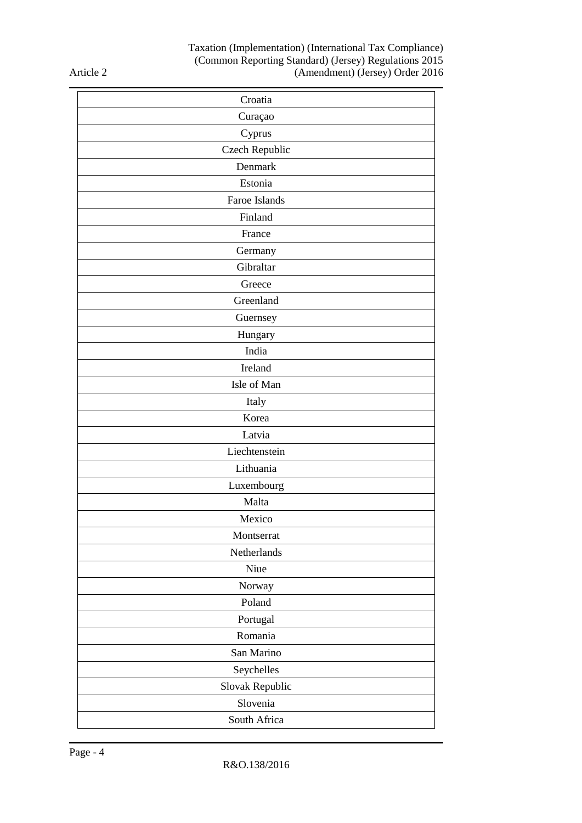#### Taxation (Implementation) (International Tax Compliance) (Common Reporting Standard) (Jersey) Regulations 2015 (Amendment) (Jersey) Order 2016

Article 2

| Croatia         |
|-----------------|
| Curaçao         |
| Cyprus          |
| Czech Republic  |
| Denmark         |
| Estonia         |
| Faroe Islands   |
| Finland         |
| France          |
| Germany         |
| Gibraltar       |
| Greece          |
| Greenland       |
| Guernsey        |
| Hungary         |
| India           |
| Ireland         |
| Isle of Man     |
| Italy           |
| Korea           |
| Latvia          |
| Liechtenstein   |
| Lithuania       |
| Luxembourg      |
| Malta           |
| Mexico          |
| Montserrat      |
| Netherlands     |
| Niue            |
| Norway          |
| Poland          |
| Portugal        |
| Romania         |
| San Marino      |
| Seychelles      |
| Slovak Republic |
| Slovenia        |
| South Africa    |
|                 |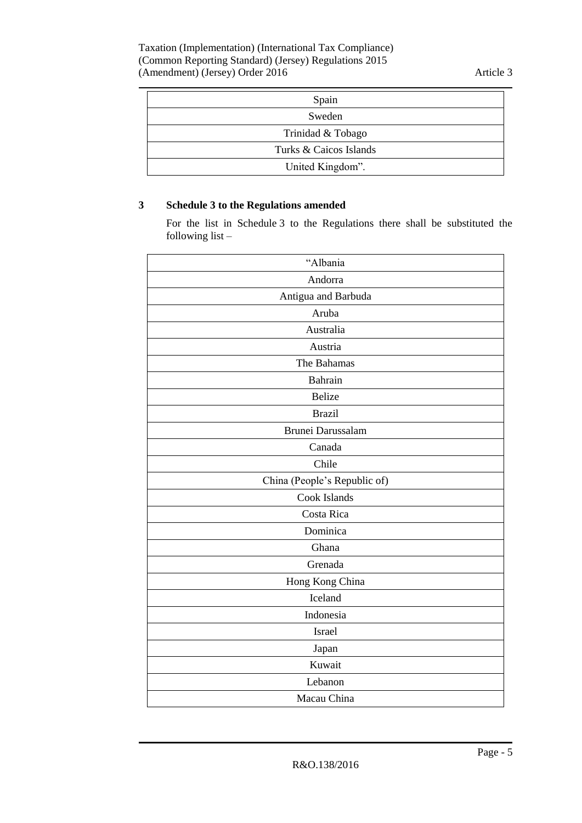| Spain                  |
|------------------------|
| Sweden                 |
| Trinidad & Tobago      |
| Turks & Caicos Islands |
| United Kingdom".       |

# <span id="page-4-0"></span>**3 Schedule 3 to the Regulations amended**

For the list in Schedule 3 to the Regulations there shall be substituted the following list –

| "Albania                     |
|------------------------------|
| Andorra                      |
| Antigua and Barbuda          |
| Aruba                        |
| Australia                    |
| Austria                      |
| The Bahamas                  |
| Bahrain                      |
| <b>Belize</b>                |
| <b>Brazil</b>                |
| Brunei Darussalam            |
| Canada                       |
| Chile                        |
| China (People's Republic of) |
| Cook Islands                 |
| Costa Rica                   |
| Dominica                     |
| Ghana                        |
| Grenada                      |
| Hong Kong China              |
| Iceland                      |
| Indonesia                    |
| Israel                       |
| Japan                        |
| Kuwait                       |
| Lebanon                      |
| Macau China                  |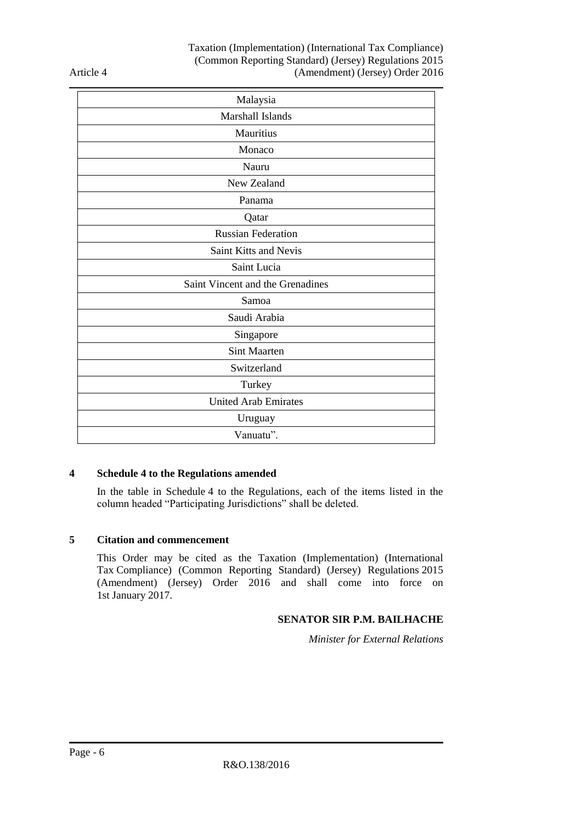Article 4

| Malaysia                         |
|----------------------------------|
| Marshall Islands                 |
| Mauritius                        |
| Monaco                           |
| Nauru                            |
| New Zealand                      |
| Panama                           |
| Qatar                            |
| <b>Russian Federation</b>        |
| Saint Kitts and Nevis            |
| Saint Lucia                      |
| Saint Vincent and the Grenadines |
| Samoa                            |
| Saudi Arabia                     |
| Singapore                        |
| <b>Sint Maarten</b>              |
| Switzerland                      |
| Turkey                           |
| <b>United Arab Emirates</b>      |
| Uruguay                          |
| Vanuatu".                        |

#### <span id="page-5-0"></span>**4 Schedule 4 to the Regulations amended**

In the table in Schedule 4 to the Regulations, each of the items listed in the column headed "Participating Jurisdictions" shall be deleted.

#### <span id="page-5-1"></span>**5 Citation and commencement**

This Order may be cited as the Taxation (Implementation) (International Tax Compliance) (Common Reporting Standard) (Jersey) Regulations 2015 (Amendment) (Jersey) Order 2016 and shall come into force on 1st January 2017.

### **SENATOR SIR P.M. BAILHACHE**

*Minister for External Relations*